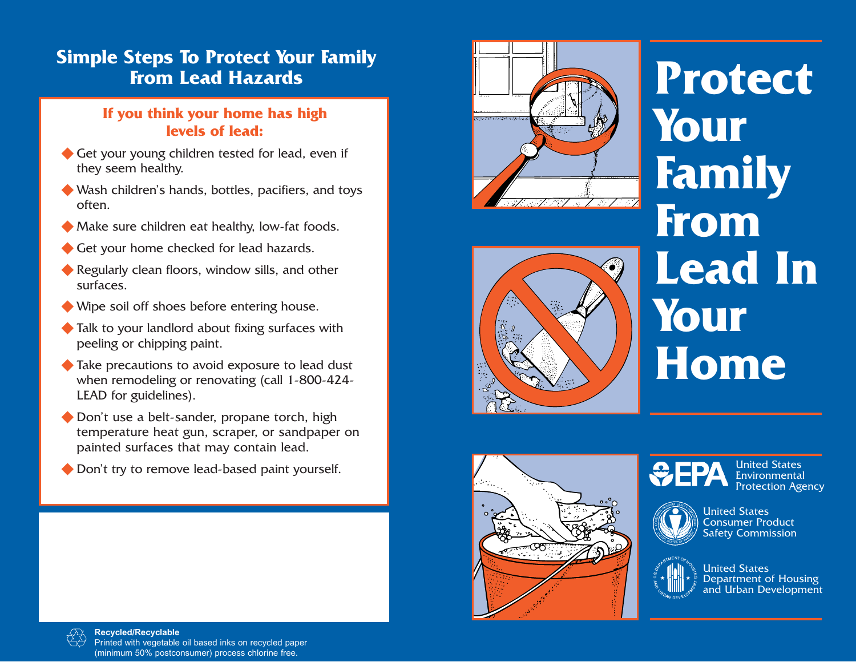## **Simple Steps To Protect Your Family From Lead Hazards**

## **If you think your home has high levels of lead:**

- ◆ Get your young children tested for lead, even if they seem healthy.
- ◆ Wash children's hands, bottles, pacifiers, and toys often.
- ◆ Make sure children eat healthy, low-fat foods.
- ◆ Get your home checked for lead hazards.
- ◆ Regularly clean floors, window sills, and other surfaces.
- ◆ Wipe soil off shoes before entering house.
- ◆ Talk to your landlord about fixing surfaces with peeling or chipping paint.
- ◆ Take precautions to avoid exposure to lead dust when remodeling or renovating (call 1-800-424- LEAD for guidelines).
- ◆ Don't use a belt-sander, propane torch, high temperature heat gun, scraper, or sandpaper on painted surfaces that may contain lead.
- ◆ Don't try to remove lead-based paint yourself.





# **Protect Your Family From Lead In Your Home**





United States **Environmental** Protection Agency



United States Consumer Product Safety Commission



United States Department of Housing and Urban Development



Printed with vegetable oil based inks on recycled paper (minimum 50% postconsumer) process chlorine free.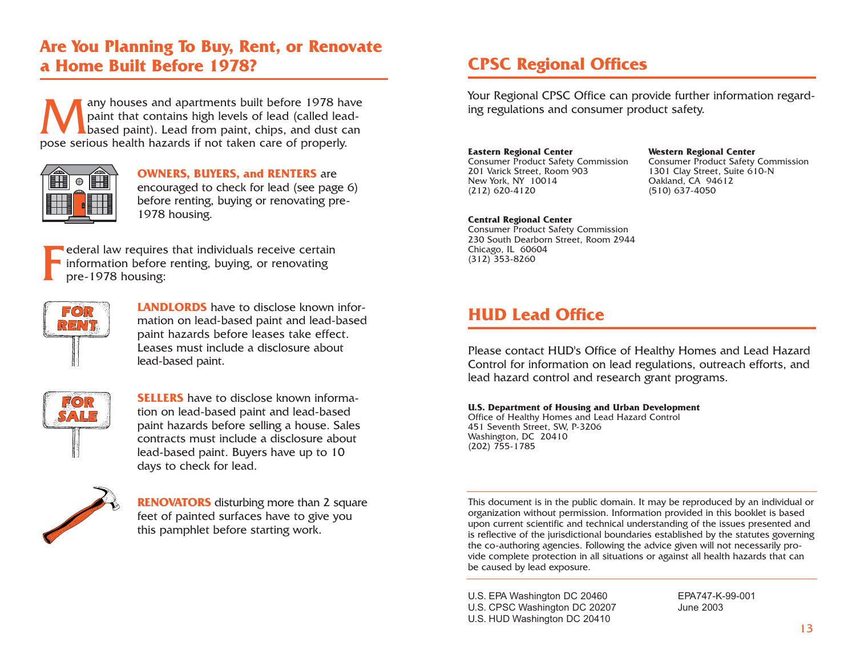## **Are You Planning To Buy, Rent, or Renovate a Home Built Before 1978?**

any houses and apartments built before 1978 have paint that contains high levels of lead (called lead-<br>based paint). Lead from paint, chips, and dust can pose serious health hazards if not taken care of properly.



**OWNERS, BUYERS, and RENTERS** are encouraged to check for lead (see page 6) before renting, buying or renovating pre-1978 housing.

Federal law requires that individuals receive certain information before renting, buying, or renovating pre-1978 housing:



**LANDLORDS** have to disclose known information on lead-based paint and lead-based paint hazards before leases take effect. Leases must include a disclosure about lead-based paint.



**SELLERS** have to disclose known information on lead-based paint and lead-based paint hazards before selling a house. Sales contracts must include a disclosure about lead-based paint. Buyers have up to 10 days to check for lead.



**RENOVATORS** disturbing more than 2 square feet of painted surfaces have to give you this pamphlet before starting work.

## **CPSC Regional Offices**

Your Regional CPSC Office can provide further information regarding regulations and consumer product safety.

**Eastern Regional Center** Consumer Product Safety Commission 201 Varick Street, Room 903 New York, NY 10014

#### **Western Regional Center**

Consumer Product Safety Commission 1301 Clay Street, Suite 610-N Oakland, CA 94612 (510) 637-4050

#### **Central Regional Center**

(212) 620-4120

Consumer Product Safety Commission 230 South Dearborn Street, Room 2944 Chicago, IL 60604 (312) 353-8260

## **HUD Lead Office**

Please contact HUD's Office of Healthy Homes and Lead Hazard Control for information on lead regulations, outreach efforts, and lead hazard control and research grant programs.

#### **U.S. Department of Housing and Urban Development**

Office of Healthy Homes and Lead Hazard Control 451 Seventh Street, SW, P-3206 Washington, DC 20410 (202) 755-1785

This document is in the public domain. It may be reproduced by an individual or organization without permission. Information provided in this booklet is based upon current scientific and technical understanding of the issues presented and is reflective of the jurisdictional boundaries established by the statutes governing the co-authoring agencies. Following the advice given will not necessarily provide complete protection in all situations or against all health hazards that can be caused by lead exposure.

U.S. EPA Washington DC 20460 EPA747-K-99-001 U.S. CPSC Washington DC 20207 June 2003 U.S. HUD Washington DC 20410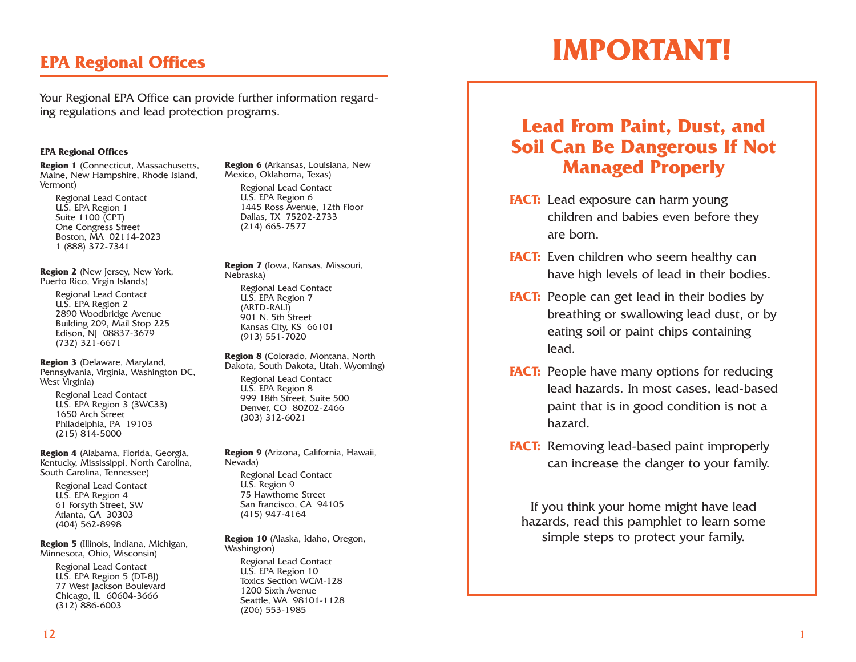## **EPA Regional Offices**

Your Regional EPA Office can provide further information regarding regulations and lead protection programs.

#### **EPA Regional Offices**

**Region 1** (Connecticut, Massachusetts, Maine, New Hampshire, Rhode Island, Vermont)

Regional Lead Contact U.S. EPA Region 1 Suite 1100 (CPT) One Congress Street Boston, MA 02114-2023 1 (888) 372-7341

**Region 2** (New Jersey, New York, Puerto Rico, Virgin Islands)

> Regional Lead Contact U.S. EPA Region 2 2890 Woodbridge Avenue Building 209, Mail Stop 225 Edison, NJ 08837-3679 (732) 321-6671

**Region 3** (Delaware, Maryland, Pennsylvania, Virginia, Washington DC, West Virginia)

Regional Lead Contact U.S. EPA Region 3 (3WC33) 1650 Arch Street Philadelphia, PA 19103 (215) 814-5000

**Region 4** (Alabama, Florida, Georgia, Kentucky, Mississippi, North Carolina, South Carolina, Tennessee)

Regional Lead Contact U.S. EPA Region 4 61 Forsyth Street, SW Atlanta, GA 30303 (404) 562-8998

**Region 5** (Illinois, Indiana, Michigan, Minnesota, Ohio, Wisconsin)

> Regional Lead Contact U.S. EPA Region 5 (DT-8J) 77 West Jackson Boulevard Chicago, IL 60604-3666 (312) 886-6003

**Region 6** (Arkansas, Louisiana, New Mexico, Oklahoma, Texas)

Regional Lead Contact U.S. EPA Region 6 1445 Ross Avenue, 12th Floor Dallas, TX 75202-2733 (214) 665-7577

**Region 7** (Iowa, Kansas, Missouri, Nebraska)

Regional Lead Contact U.S. EPA Region 7 (ARTD-RALI) 901 N. 5th Street Kansas City, KS 66101 (913) 551-7020

**Region 8** (Colorado, Montana, North Dakota, South Dakota, Utah, Wyoming)

Regional Lead Contact U.S. EPA Region 8 999 18th Street, Suite 500 Denver, CO 80202-2466 (303) 312-6021

**Region 9** (Arizona, California, Hawaii, Nevada) Regional Lead Contact U.S. Region 9 75 Hawthorne Street San Francisco, CA 94105

**Region 10** (Alaska, Idaho, Oregon, Washington) Regional Lead Contact

(415) 947-4164

U.S. EPA Region 10 Toxics Section WCM-128 1200 Sixth Avenue Seattle, WA 98101-1128 (206) 553-1985

## **IMPORTANT!**

## **Lead From Paint, Dust, and Soil Can Be Dangerous If Not Managed Properly**

- **FACT:** Lead exposure can harm young children and babies even before they are born.
- **FACT:** Even children who seem healthy can have high levels of lead in their bodies.
- **FACT:** People can get lead in their bodies by breathing or swallowing lead dust, or by eating soil or paint chips containing lead.
- **FACT:** People have many options for reducing lead hazards. In most cases, lead-based paint that is in good condition is not a hazard.
- **FACT:** Removing lead-based paint improperly can increase the danger to your family.

If you think your home might have lead hazards, read this pamphlet to learn some simple steps to protect your family.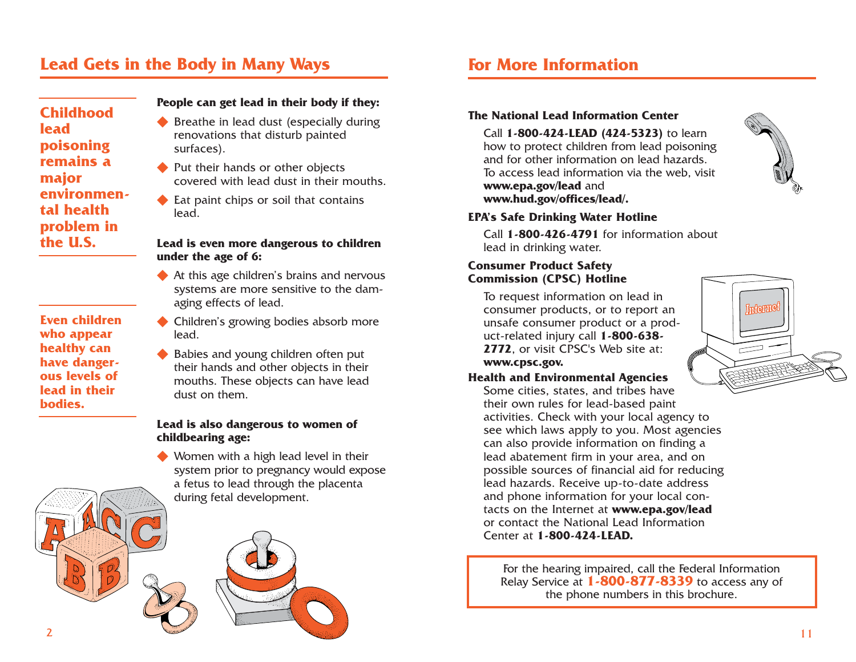## **Lead Gets in the Body in Many Ways**

**Childhood lead poisoning remains a major environmental health problem in the U.S.**

**Even children who appear healthy can have dangerous levels of lead in their bodies.**

#### **People can get lead in their body if they:**

- Breathe in lead dust (especially during renovations that disturb painted surfaces).
- ◆ Put their hands or other objects covered with lead dust in their mouths.
- Eat paint chips or soil that contains lead.

#### **Lead is even more dangerous to children under the age of 6:**

- ◆ At this age children's brains and nervous systems are more sensitive to the damaging effects of lead.
- ◆ Children's growing bodies absorb more lead.
- Babies and young children often put their hands and other objects in their mouths. These objects can have lead dust on them.

#### **Lead is also dangerous to women of childbearing age:**

◆ Women with a high lead level in their system prior to pregnancy would expose a fetus to lead through the placenta during fetal development.



## **For More Information**

#### **The National Lead Information Center**

Call **1-800-424-LEAD (424-5323)** to learn how to protect children from lead poisoning and for other information on lead hazards. To access lead information via the web, visit **www.epa.gov/lead** and **www.hud.gov/offices/lead/.**



#### **EPA's Safe Drinking Water Hotline**

Call **1-800-426-4791** for information about lead in drinking water.

#### **Consumer Product Safety Commission (CPSC) Hotline**

To request information on lead in consumer products, or to report an unsafe consumer product or a product-related injury call **1-800-638- 2772.** or visit CPSC's Web site at: **www.cpsc.gov.**



#### **Health and Environmental Agencies**

Some cities, states, and tribes have their own rules for lead-based paint activities. Check with your local agency to see which laws apply to you. Most agencies can also provide information on finding a lead abatement firm in your area, and on possible sources of financial aid for reducing lead hazards. Receive up-to-date address and phone information for your local contacts on the Internet at **www.epa.gov/lead** or contact the National Lead Information Center at **1-800-424-LEAD.**

For the hearing impaired, call the Federal Information Relay Service at **1-800-877-8339** to access any of the phone numbers in this brochure.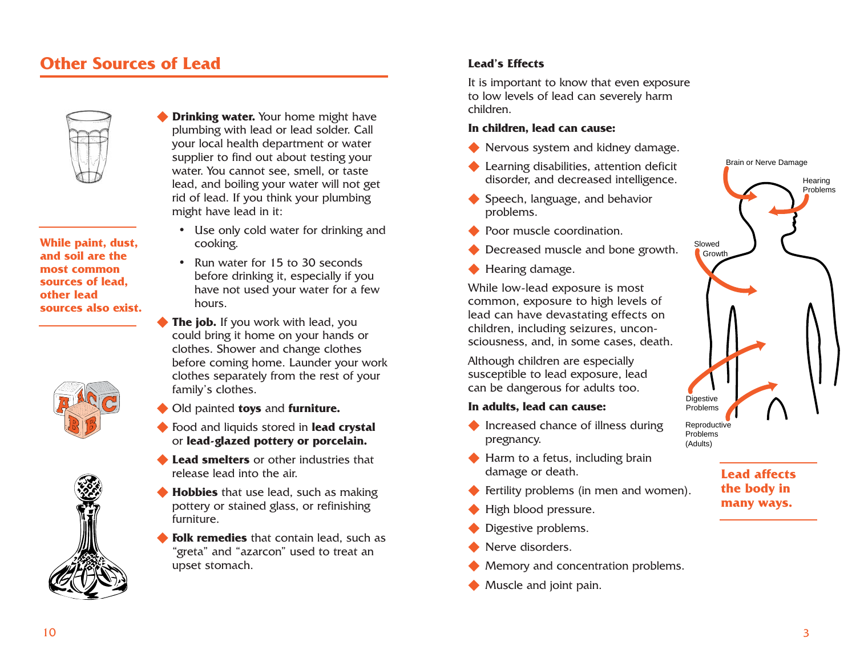## **Other Sources of Lead**



**While paint, dust, and soil are the most common sources of lead, other lead sources also exist.**





◆ **Drinking water.** Your home might have plumbing with lead or lead solder. Call your local health department or water supplier to find out about testing your water. You cannot see, smell, or taste lead, and boiling your water will not get rid of lead. If you think your plumbing might have lead in it:

- Use only cold water for drinking and cooking.
- Run water for 15 to 30 seconds before drinking it, especially if you have not used your water for a few hours.
- **The job.** If you work with lead, you could bring it home on your hands or clothes. Shower and change clothes before coming home. Launder your work clothes separately from the rest of your family's clothes.
- ◆ Old painted **toys** and **furniture.**
- ◆ Food and liquids stored in **lead crystal** or **lead-glazed pottery or porcelain.**
- **Lead smelters** or other industries that release lead into the air.
- **Hobbies** that use lead, such as making pottery or stained glass, or refinishing furniture.
- **Folk remedies** that contain lead, such as "greta" and "azarcon" used to treat an upset stomach.

#### **Lead's Effects**

It is important to know that even exposure to low levels of lead can severely harm children.

#### **In children, lead can cause:**

- Nervous system and kidney damage.
- Learning disabilities, attention deficit disorder, and decreased intelligence.
- ◆ Speech, language, and behavior problems.
- ◆ Poor muscle coordination.
- Decreased muscle and bone growth.
- ◆ Hearing damage.

While low-lead exposure is most common, exposure to high levels of lead can have devastating effects on children, including seizures, unconsciousness, and, in some cases, death.

Although children are especially susceptible to lead exposure, lead can be dangerous for adults too.

#### **In adults, lead can cause:**

- ◆ Increased chance of illness during pregnancy.
- Reproductive Problems (Adults) Digestive Problems

Slowed Growth

- ◆ Harm to a fetus, including brain damage or death.
- ◆ Fertility problems (in men and women).
- High blood pressure.
- Digestive problems.
- Nerve disorders.
- Memory and concentration problems.
- ◆ Muscle and joint pain.

#### **Lead affects the body in many ways.**

Brain or Nerve Damage

**Hearing** Problems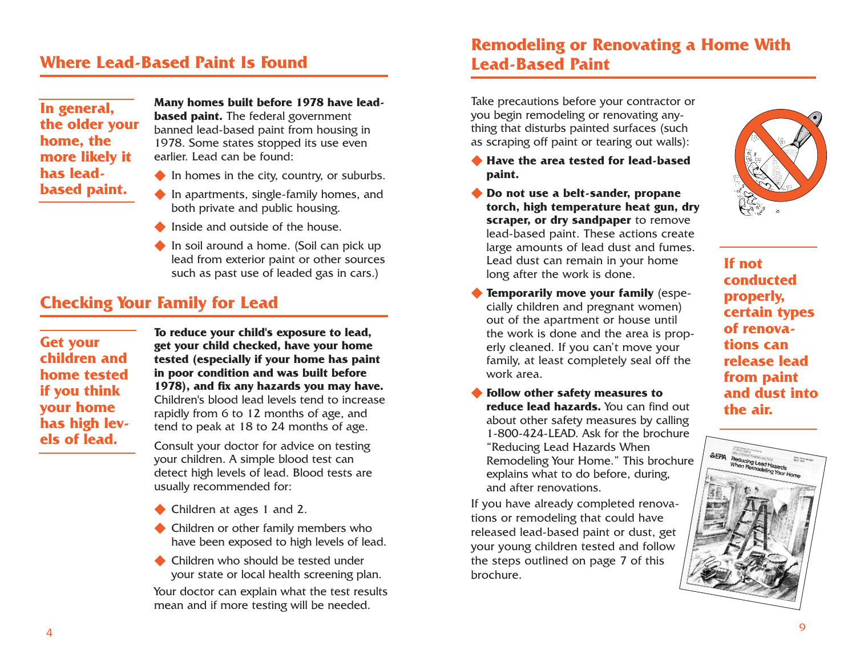## **Where Lead-Based Paint Is Found**

### **In general, the older your home, the more likely it has leadbased paint.**

**Many homes built before 1978 have leadbased paint.** The federal government banned lead-based paint from housing in 1978. Some states stopped its use even

- earlier. Lead can be found:
- $\blacklozenge$  In homes in the city, country, or suburbs.
- ◆ In apartments, single-family homes, and both private and public housing.
- Inside and outside of the house.
- In soil around a home. (Soil can pick up lead from exterior paint or other sources such as past use of leaded gas in cars.)

## **Checking Your Family for Lead**

**Get your children and home tested if you think your home has high levels of lead.**

**To reduce your child's exposure to lead, get your child checked, have your home tested (especially if your home has paint in poor condition and was built before 1978), and fix any hazards you may have.** Children's blood lead levels tend to increase rapidly from 6 to 12 months of age, and tend to peak at 18 to 24 months of age.

Consult your doctor for advice on testing your children. A simple blood test can detect high levels of lead. Blood tests are usually recommended for:

- ◆ Children at ages 1 and 2.
- ◆ Children or other family members who have been exposed to high levels of lead.
- ◆ Children who should be tested under your state or local health screening plan.

Your doctor can explain what the test results mean and if more testing will be needed.

## **Remodeling or Renovating a Home With Lead-Based Paint**

Take precautions before your contractor or you begin remodeling or renovating anything that disturbs painted surfaces (such as scraping off paint or tearing out walls):

- ◆ **Have the area tested for lead-based paint.**
- **Do not use a belt-sander, propane torch, high temperature heat gun, dry scraper, or dry sandpaper** to remove lead-based paint. These actions create large amounts of lead dust and fumes. Lead dust can remain in your home long after the work is done.

◆ **Temporarily move your family** (especially children and pregnant women) out of the apartment or house until the work is done and the area is properly cleaned. If you can't move your family, at least completely seal off the work area.

**Follow other safety measures to reduce lead hazards.** You can find out about other safety measures by calling 1-800-424-LEAD. Ask for the brochure "Reducing Lead Hazards When Remodeling Your Home." This brochure explains what to do before, during, and after renovations.

If you have already completed renovations or remodeling that could have released lead-based paint or dust, get your young children tested and follow the steps outlined on page 7 of this brochure.

**If not conducted properly, certain types of renovations can release lead from paint and dust into the air.** 

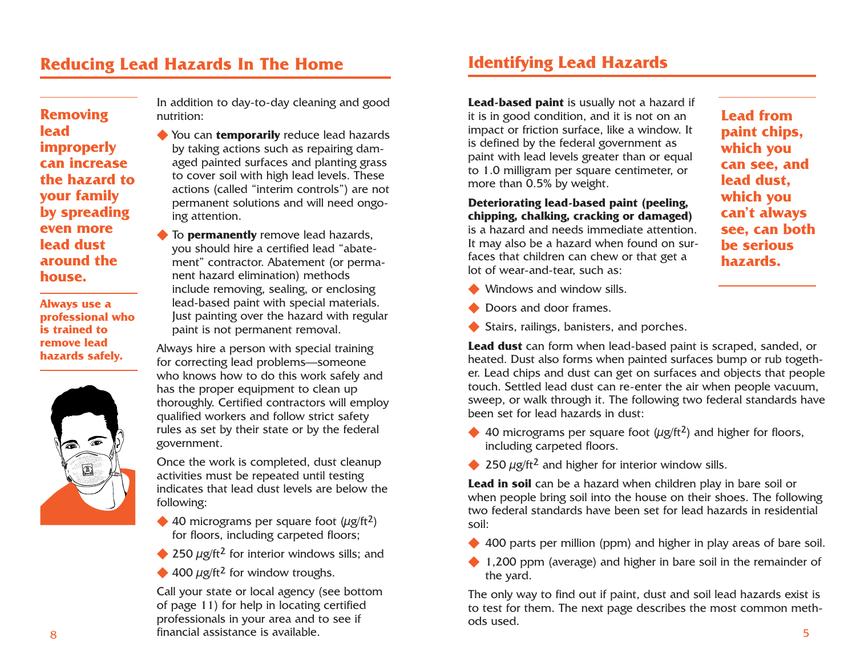## **Reducing Lead Hazards In The Home**

**Removing lead improperly can increase the hazard to your family by spreading even more lead dust around the house.** 

**Always use a professional who is trained to remove lead hazards safely.**



In addition to day-to-day cleaning and good nutrition:

- ◆ You can **temporarily** reduce lead hazards by taking actions such as repairing damaged painted surfaces and planting grass to cover soil with high lead levels. These actions (called "interim controls") are not permanent solutions and will need ongoing attention.
- To **permanently** remove lead hazards, you should hire a certified lead "abatement" contractor. Abatement (or permanent hazard elimination) methods include removing, sealing, or enclosing lead-based paint with special materials. Just painting over the hazard with regular paint is not permanent removal.

Always hire a person with special training for correcting lead problems—someone who knows how to do this work safely and has the proper equipment to clean up thoroughly. Certified contractors will employ qualified workers and follow strict safety rules as set by their state or by the federal government.

Once the work is completed, dust cleanup activities must be repeated until testing indicates that lead dust levels are below the following:

- $\blacklozenge$  40 micrograms per square foot ( $\mu$ g/ft<sup>2</sup>) for floors, including carpeted floors;
- $\triangle$  250  $\mu$ g/ft<sup>2</sup> for interior windows sills; and
- $\triangle$  400  $\mu$ g/ft<sup>2</sup> for window troughs.

Call your state or local agency (see bottom of page 11) for help in locating certified professionals in your area and to see if financial assistance is available.

## **Identifying Lead Hazards**

**Lead-based paint** is usually not a hazard if it is in good condition, and it is not on an impact or friction surface, like a window. It is defined by the federal government as paint with lead levels greater than or equal to 1.0 milligram per square centimeter, or more than 0.5% by weight.

**Deteriorating lead-based paint (peeling, chipping, chalking, cracking or damaged)** is a hazard and needs immediate attention. It may also be a hazard when found on surfaces that children can chew or that get a

**Lead from paint chips, which you can see, and lead dust, which you can't always see, can both be serious hazards.** 

- lot of wear-and-tear, such as: ◆ Windows and window sills.
- Doors and door frames.
- ◆ Stairs, railings, banisters, and porches.

**Lead dust** can form when lead-based paint is scraped, sanded, or heated. Dust also forms when painted surfaces bump or rub together. Lead chips and dust can get on surfaces and objects that people touch. Settled lead dust can re-enter the air when people vacuum, sweep, or walk through it. The following two federal standards have been set for lead hazards in dust:

- $\triangle$  40 micrograms per square foot ( $\mu$ g/ft<sup>2</sup>) and higher for floors, including carpeted floors.
- $\triangle$  250  $\mu$ g/ft<sup>2</sup> and higher for interior window sills.

**Lead in soil** can be a hazard when children play in bare soil or when people bring soil into the house on their shoes. The following two federal standards have been set for lead hazards in residential soil:

- ◆ 400 parts per million (ppm) and higher in play areas of bare soil.
- ◆ 1,200 ppm (average) and higher in bare soil in the remainder of the yard.

The only way to find out if paint, dust and soil lead hazards exist is to test for them. The next page describes the most common methods used.